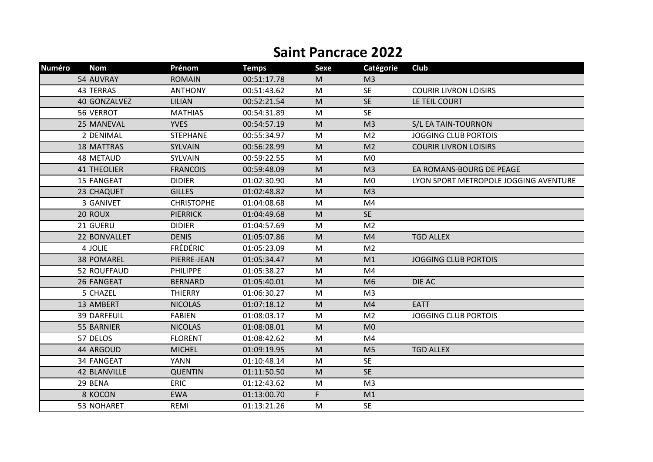## **Saint Pancrace 2022**

| <b>Numéro</b> | <b>Nom</b>          | Prénom            | <b>Temps</b> | <b>Sexe</b> | Catégorie      | Club                                  |
|---------------|---------------------|-------------------|--------------|-------------|----------------|---------------------------------------|
|               | 54 AUVRAY           | <b>ROMAIN</b>     | 00:51:17.78  | M           | M <sub>3</sub> |                                       |
|               | 43 TERRAS           | <b>ANTHONY</b>    | 00:51:43.62  | M           | <b>SE</b>      | <b>COURIR LIVRON LOISIRS</b>          |
|               | 40 GONZALVEZ        | <b>LILIAN</b>     | 00:52:21.54  | M           | <b>SE</b>      | LE TEIL COURT                         |
|               | 56 VERROT           | <b>MATHIAS</b>    | 00:54:31.89  | M           | <b>SE</b>      |                                       |
|               | 25 MANEVAL          | <b>YVES</b>       | 00:54:57.19  | M           | M <sub>3</sub> | S/L EA TAIN-TOURNON                   |
|               | 2 DENIMAL           | <b>STEPHANE</b>   | 00:55:34.97  | M           | M <sub>2</sub> | <b>JOGGING CLUB PORTOIS</b>           |
|               | <b>18 MATTRAS</b>   | SYLVAIN           | 00:56:28.99  | M           | M <sub>2</sub> | <b>COURIR LIVRON LOISIRS</b>          |
|               | 48 METAUD           | SYLVAIN           | 00:59:22.55  | M           | M <sub>0</sub> |                                       |
|               | <b>41 THEOLIER</b>  | <b>FRANCOIS</b>   | 00:59:48.09  | M           | M <sub>3</sub> | EA ROMANS-BOURG DE PEAGE              |
|               | 15 FANGEAT          | <b>DIDIER</b>     | 01:02:30.90  | M           | M <sub>0</sub> | LYON SPORT METROPOLE JOGGING AVENTURE |
|               | 23 CHAQUET          | <b>GILLES</b>     | 01:02:48.82  | M           | M <sub>3</sub> |                                       |
|               | 3 GANIVET           | <b>CHRISTOPHE</b> | 01:04:08.68  | M           | M4             |                                       |
|               | 20 ROUX             | <b>PIERRICK</b>   | 01:04:49.68  | M           | <b>SE</b>      |                                       |
|               | 21 GUERU            | <b>DIDIER</b>     | 01:04:57.69  | M           | M <sub>2</sub> |                                       |
|               | 22 BONVALLET        | <b>DENIS</b>      | 01:05:07.86  | M           | M <sub>4</sub> | <b>TGD ALLEX</b>                      |
|               | 4 JOLIE             | <b>FRÉDÉRIC</b>   | 01:05:23.09  | M           | M <sub>2</sub> |                                       |
|               | <b>38 POMAREL</b>   | PIERRE-JEAN       | 01:05:34.47  | M           | M1             | <b>JOGGING CLUB PORTOIS</b>           |
|               | 52 ROUFFAUD         | <b>PHILIPPE</b>   | 01:05:38.27  | M           | M4             |                                       |
|               | 26 FANGEAT          | <b>BERNARD</b>    | 01:05:40.01  | M           | M <sub>6</sub> | DIE AC                                |
|               | 5 CHAZEL            | <b>THIERRY</b>    | 01:06:30.27  | M           | M <sub>3</sub> |                                       |
|               | 13 AMBERT           | <b>NICOLAS</b>    | 01:07:18.12  | M           | M <sub>4</sub> | <b>EATT</b>                           |
|               | <b>39 DARFEUIL</b>  | <b>FABIEN</b>     | 01:08:03.17  | M           | M <sub>2</sub> | <b>JOGGING CLUB PORTOIS</b>           |
|               | 55 BARNIER          | <b>NICOLAS</b>    | 01:08:08.01  | M           | M <sub>0</sub> |                                       |
|               | 57 DELOS            | <b>FLORENT</b>    | 01:08:42.62  | M           | M4             |                                       |
|               | 44 ARGOUD           | <b>MICHEL</b>     | 01:09:19.95  | M           | M <sub>5</sub> | <b>TGD ALLEX</b>                      |
|               | 34 FANGEAT          | <b>YANN</b>       | 01:10:48.14  | M           | <b>SE</b>      |                                       |
|               | <b>42 BLANVILLE</b> | <b>QUENTIN</b>    | 01:11:50.50  | M           | <b>SE</b>      |                                       |
|               | 29 BENA             | <b>ERIC</b>       | 01:12:43.62  | M           | M <sub>3</sub> |                                       |
|               | 8 KOCON             | <b>EWA</b>        | 01:13:00.70  | F.          | M1             |                                       |
|               | 53 NOHARET          | REMI              | 01:13:21.26  | M           | <b>SE</b>      |                                       |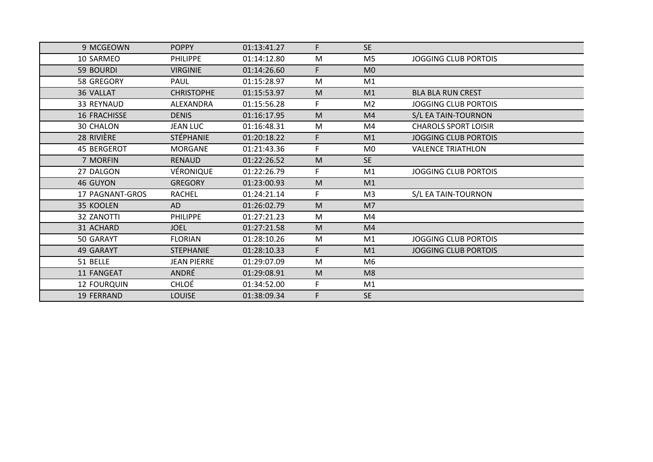| 9 MCGEOWN              | <b>POPPY</b>       | 01:13:41.27 | F  | <b>SE</b>      |                             |
|------------------------|--------------------|-------------|----|----------------|-----------------------------|
| 10 SARMEO              | <b>PHILIPPE</b>    | 01:14:12.80 | M  | M <sub>5</sub> | <b>JOGGING CLUB PORTOIS</b> |
| 59 BOURDI              | <b>VIRGINIE</b>    | 01:14:26.60 | F. | M <sub>0</sub> |                             |
| 58 GREGORY             | <b>PAUL</b>        | 01:15:28.97 | M  | M1             |                             |
| 36 VALLAT              | <b>CHRISTOPHE</b>  | 01:15:53.97 | M  | M1             | <b>BLA BLA RUN CREST</b>    |
| 33 REYNAUD             | ALEXANDRA          | 01:15:56.28 | F. | M <sub>2</sub> | JOGGING CLUB PORTOIS        |
| <b>16 FRACHISSE</b>    | <b>DENIS</b>       | 01:16:17.95 | M  | M4             | S/L EA TAIN-TOURNON         |
| <b>30 CHALON</b>       | <b>JEAN LUC</b>    | 01:16:48.31 | M  | M4             | <b>CHAROLS SPORT LOISIR</b> |
| 28 RIVIÈRE             | <b>STÉPHANIE</b>   | 01:20:18.22 | F. | M1             | <b>JOGGING CLUB PORTOIS</b> |
| <b>45 BERGEROT</b>     | <b>MORGANE</b>     | 01:21:43.36 | F. | M <sub>0</sub> | <b>VALENCE TRIATHLON</b>    |
| 7 MORFIN               | <b>RENAUD</b>      | 01:22:26.52 | M  | <b>SE</b>      |                             |
| 27 DALGON              | VÉRONIQUE          | 01:22:26.79 | F. | M1             | <b>JOGGING CLUB PORTOIS</b> |
| 46 GUYON               | <b>GREGORY</b>     | 01:23:00.93 | M  | M1             |                             |
| <b>17 PAGNANT-GROS</b> | <b>RACHEL</b>      | 01:24:21.14 | F  | M3             | S/L EA TAIN-TOURNON         |
| 35 KOOLEN              | <b>AD</b>          | 01:26:02.79 | M  | M7             |                             |
| 32 ZANOTTI             | <b>PHILIPPE</b>    | 01:27:21.23 | M  | M4             |                             |
| 31 ACHARD              | <b>JOEL</b>        | 01:27:21.58 | M  | M <sub>4</sub> |                             |
| 50 GARAYT              | <b>FLORIAN</b>     | 01:28:10.26 | M  | M1             | <b>JOGGING CLUB PORTOIS</b> |
| 49 GARAYT              | <b>STEPHANIE</b>   | 01:28:10.33 | F. | M1             | <b>JOGGING CLUB PORTOIS</b> |
| 51 BELLE               | <b>JEAN PIERRE</b> | 01:29:07.09 | M  | M6             |                             |
| 11 FANGEAT             | <b>ANDRÉ</b>       | 01:29:08.91 | M  | M <sub>8</sub> |                             |
| <b>12 FOURQUIN</b>     | <b>CHLOÉ</b>       | 01:34:52.00 | F. | M1             |                             |
| <b>19 FERRAND</b>      | <b>LOUISE</b>      | 01:38:09.34 | F. | <b>SE</b>      |                             |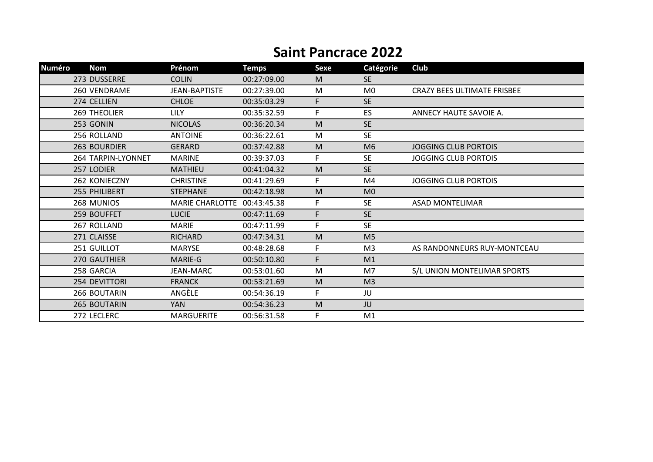## **Saint Pancrace 2022**

| <b>Numéro</b> | <b>Nom</b>          | Prénom                 | <b>Temps</b> | Sexe | Catégorie      | Club                               |
|---------------|---------------------|------------------------|--------------|------|----------------|------------------------------------|
|               | 273 DUSSERRE        | <b>COLIN</b>           | 00:27:09.00  | M    | <b>SE</b>      |                                    |
|               | 260 VENDRAME        | <b>JEAN-BAPTISTE</b>   | 00:27:39.00  | M    | M <sub>0</sub> | <b>CRAZY BEES ULTIMATE FRISBEE</b> |
|               | 274 CELLIEN         | <b>CHLOE</b>           | 00:35:03.29  | F    | <b>SE</b>      |                                    |
|               | <b>269 THEOLIER</b> | <b>LILY</b>            | 00:35:32.59  | F.   | ES.            | ANNECY HAUTE SAVOIE A.             |
|               | 253 GONIN           | <b>NICOLAS</b>         | 00:36:20.34  | M    | <b>SE</b>      |                                    |
|               | 256 ROLLAND         | <b>ANTOINE</b>         | 00:36:22.61  | M    | <b>SE</b>      |                                    |
|               | 263 BOURDIER        | <b>GERARD</b>          | 00:37:42.88  | M    | M <sub>6</sub> | <b>JOGGING CLUB PORTOIS</b>        |
|               | 264 TARPIN-LYONNET  | <b>MARINE</b>          | 00:39:37.03  | F    | <b>SE</b>      | <b>JOGGING CLUB PORTOIS</b>        |
|               | 257 LODIER          | <b>MATHIEU</b>         | 00:41:04.32  | M    | <b>SE</b>      |                                    |
|               | 262 KONIECZNY       | <b>CHRISTINE</b>       | 00:41:29.69  | F    | M4             | <b>JOGGING CLUB PORTOIS</b>        |
|               | 255 PHILIBERT       | <b>STEPHANE</b>        | 00:42:18.98  | M    | M <sub>0</sub> |                                    |
|               | 268 MUNIOS          | <b>MARIE CHARLOTTE</b> | 00:43:45.38  | F    | <b>SE</b>      | <b>ASAD MONTELIMAR</b>             |
|               | 259 BOUFFET         | <b>LUCIE</b>           | 00:47:11.69  | F    | <b>SE</b>      |                                    |
|               | 267 ROLLAND         | <b>MARIE</b>           | 00:47:11.99  | F    | <b>SE</b>      |                                    |
|               | 271 CLAISSE         | <b>RICHARD</b>         | 00:47:34.31  | M    | M <sub>5</sub> |                                    |
|               | 251 GUILLOT         | <b>MARYSE</b>          | 00:48:28.68  | F    | M <sub>3</sub> | AS RANDONNEURS RUY-MONTCEAU        |
|               | 270 GAUTHIER        | MARIE-G                | 00:50:10.80  | F    | M1             |                                    |
|               | 258 GARCIA          | <b>JEAN-MARC</b>       | 00:53:01.60  | M    | M7             | S/L UNION MONTELIMAR SPORTS        |
|               | 254 DEVITTORI       | <b>FRANCK</b>          | 00:53:21.69  | M    | M <sub>3</sub> |                                    |
|               | 266 BOUTARIN        | ANGÈLE                 | 00:54:36.19  | F    | JU             |                                    |
|               | 265 BOUTARIN        | <b>YAN</b>             | 00:54:36.23  | M    | JU             |                                    |
|               | 272 LECLERC         | <b>MARGUERITE</b>      | 00:56:31.58  | F    | M1             |                                    |